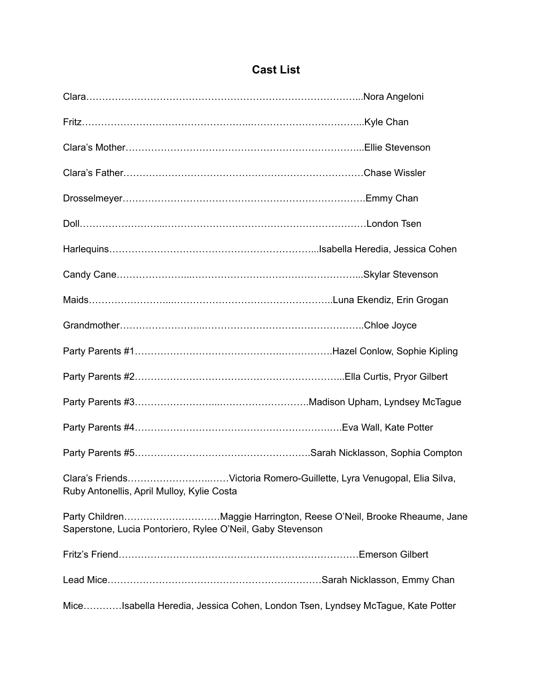## **Cast List**

| Ruby Antonellis, April Mulloy, Kylie Costa                                     |                                                                     |
|--------------------------------------------------------------------------------|---------------------------------------------------------------------|
| Saperstone, Lucia Pontoriero, Rylee O'Neil, Gaby Stevenson                     | Party ChildrenMaggie Harrington, Reese O'Neil, Brooke Rheaume, Jane |
|                                                                                |                                                                     |
|                                                                                |                                                                     |
| MiceIsabella Heredia, Jessica Cohen, London Tsen, Lyndsey McTague, Kate Potter |                                                                     |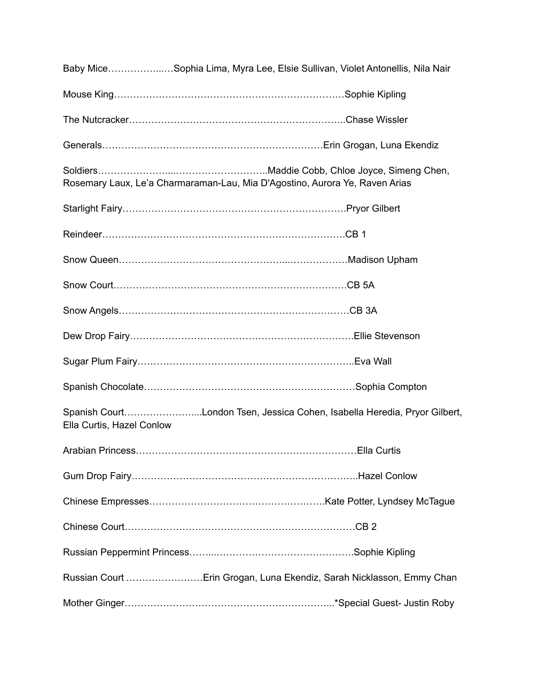|                           | Baby MiceSophia Lima, Myra Lee, Elsie Sullivan, Violet Antonellis, Nila Nair |
|---------------------------|------------------------------------------------------------------------------|
|                           |                                                                              |
|                           |                                                                              |
|                           |                                                                              |
|                           | Rosemary Laux, Le'a Charmaraman-Lau, Mia D'Agostino, Aurora Ye, Raven Arias  |
|                           |                                                                              |
|                           |                                                                              |
|                           |                                                                              |
|                           |                                                                              |
|                           |                                                                              |
|                           |                                                                              |
|                           |                                                                              |
|                           |                                                                              |
| Ella Curtis, Hazel Conlow | Spanish CourtLondon Tsen, Jessica Cohen, Isabella Heredia, Pryor Gilbert,    |
| Arabian Princess          | Ella Curtis                                                                  |
|                           |                                                                              |
|                           |                                                                              |
|                           |                                                                              |
|                           |                                                                              |
|                           | Russian Court Erin Grogan, Luna Ekendiz, Sarah Nicklasson, Emmy Chan         |
|                           |                                                                              |